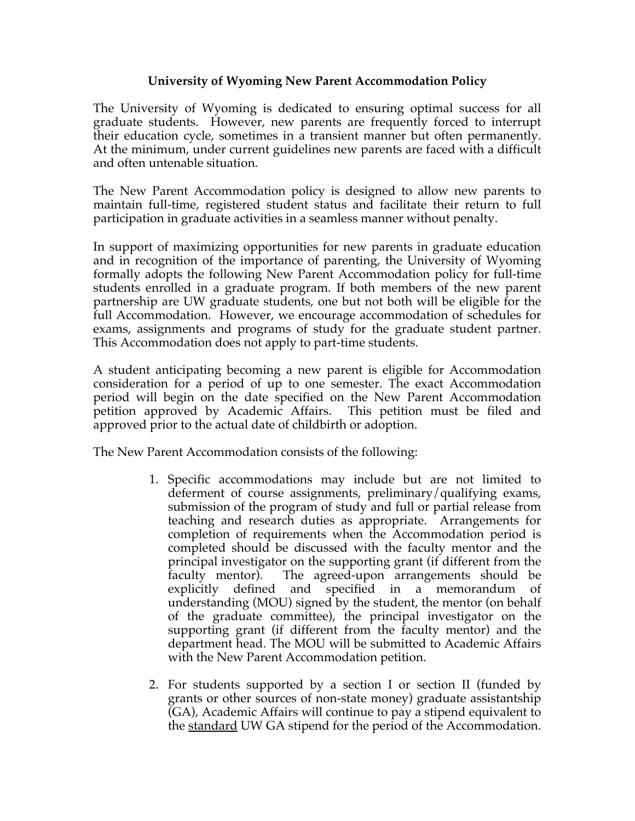## **University of Wyoming New Parent Accommodation Policy**

The University of Wyoming is dedicated to ensuring optimal success for all graduate students. However, new parents are frequently forced to interrupt their education cycle, sometimes in a transient manner but often permanently. At the minimum, under current guidelines new parents are faced with a difficult and often untenable situation.

The New Parent Accommodation policy is designed to allow new parents to maintain full-time, registered student status and facilitate their return to full participation in graduate activities in a seamless manner without penalty.

In support of maximizing opportunities for new parents in graduate education and in recognition of the importance of parenting, the University of Wyoming formally adopts the following New Parent Accommodation policy for full-time students enrolled in a graduate program. If both members of the new parent partnership are UW graduate students, one but not both will be eligible for the full Accommodation. However, we encourage accommodation of schedules for exams, assignments and programs of study for the graduate student partner. This Accommodation does not apply to part-time students.

A student anticipating becoming a new parent is eligible for Accommodation consideration for a period of up to one semester. The exact Accommodation period will begin on the date specified on the New Parent Accommodation petition approved by Academic Affairs. This petition must be filed and approved prior to the actual date of childbirth or adoption.

The New Parent Accommodation consists of the following:

- 1. Specific accommodations may include but are not limited to deferment of course assignments, preliminary/qualifying exams, submission of the program of study and full or partial release from teaching and research duties as appropriate. Arrangements for completion of requirements when the Accommodation period is completed should be discussed with the faculty mentor and the principal investigator on the supporting grant (if different from the faculty mentor). The agreed-upon arrangements should be explicitly defined and specified in a memorandum understanding (MOU) signed by the student, the mentor (on behalf of the graduate committee), the principal investigator on the supporting grant (if different from the faculty mentor) and the department head. The MOU will be submitted to Academic Affairs with the New Parent Accommodation petition.
- 2. For students supported by a section I or section II (funded by grants or other sources of non-state money) graduate assistantship  $\overline{(GA)}$ , Academic Affairs will continue to pay a stipend equivalent to the standard UW GA stipend for the period of the Accommodation.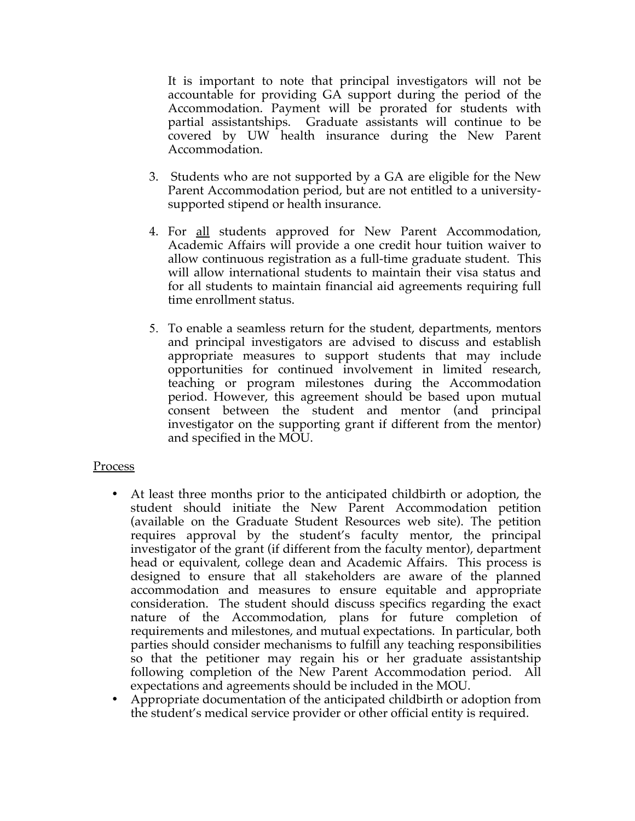It is important to note that principal investigators will not be accountable for providing GA support during the period of the Accommodation. Payment will be prorated for students with partial assistantships. Graduate assistants will continue to be covered by UW health insurance during the New Parent Accommodation.

- 3. Students who are not supported by a GA are eligible for the New Parent Accommodation period, but are not entitled to a universitysupported stipend or health insurance.
- 4. For all students approved for New Parent Accommodation, Academic Affairs will provide a one credit hour tuition waiver to allow continuous registration as a full-time graduate student. This will allow international students to maintain their visa status and for all students to maintain financial aid agreements requiring full time enrollment status.
- 5. To enable a seamless return for the student, departments, mentors and principal investigators are advised to discuss and establish appropriate measures to support students that may include opportunities for continued involvement in limited research, teaching or program milestones during the Accommodation period. However, this agreement should be based upon mutual consent between the student and mentor (and principal investigator on the supporting grant if different from the mentor) and specified in the MOU.

## Process

- At least three months prior to the anticipated childbirth or adoption, the student should initiate the New Parent Accommodation petition (available on the Graduate Student Resources web site). The petition requires approval by the student's faculty mentor, the principal investigator of the grant (if different from the faculty mentor), department head or equivalent, college dean and Academic Affairs. This process is designed to ensure that all stakeholders are aware of the planned accommodation and measures to ensure equitable and appropriate consideration. The student should discuss specifics regarding the exact nature of the Accommodation, plans for future completion of requirements and milestones, and mutual expectations. In particular, both parties should consider mechanisms to fulfill any teaching responsibilities so that the petitioner may regain his or her graduate assistantship following completion of the New Parent Accommodation period. All expectations and agreements should be included in the MOU.
- Appropriate documentation of the anticipated childbirth or adoption from the student's medical service provider or other official entity is required.